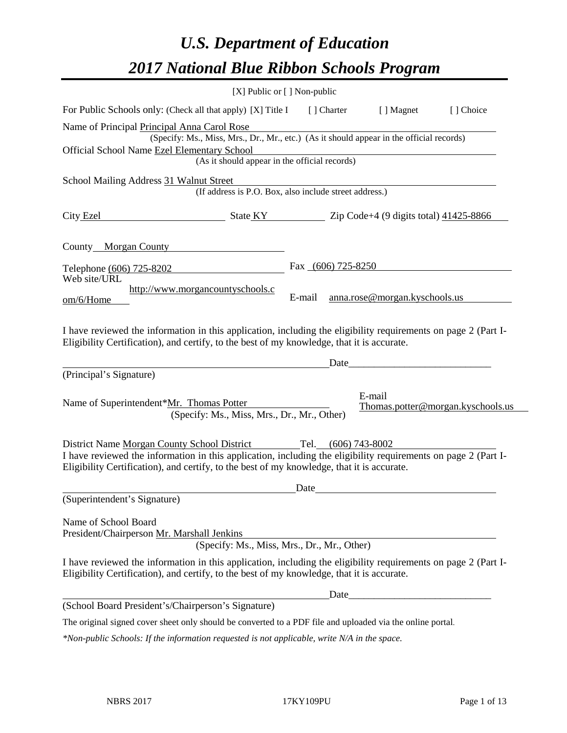# *U.S. Department of Education 2017 National Blue Ribbon Schools Program*

|                                                                                                                                                                                                                                         | [X] Public or [] Non-public |                               |                                   |
|-----------------------------------------------------------------------------------------------------------------------------------------------------------------------------------------------------------------------------------------|-----------------------------|-------------------------------|-----------------------------------|
| For Public Schools only: (Check all that apply) [X] Title I                                                                                                                                                                             | [ ] Charter                 | [ ] Magnet                    | [] Choice                         |
| Name of Principal Principal Anna Carol Rose<br>(Specify: Ms., Miss, Mrs., Dr., Mr., etc.) (As it should appear in the official records)<br>Official School Name Ezel Elementary School<br>(As it should appear in the official records) |                             |                               |                                   |
|                                                                                                                                                                                                                                         |                             |                               |                                   |
| School Mailing Address 31 Walnut Street<br>(If address is P.O. Box, also include street address.)                                                                                                                                       |                             |                               |                                   |
| City Ezel<br>$\frac{1}{2}$ State KY $\frac{1}{2}$ Zip Code+4 (9 digits total) 41425-8866                                                                                                                                                |                             |                               |                                   |
| County Morgan County                                                                                                                                                                                                                    |                             |                               |                                   |
| Telephone (606) 725-8202<br>Web site/URL                                                                                                                                                                                                | Fax (606) 725-8250          |                               |                                   |
| http://www.morgancountyschools.c<br>om/6/Home                                                                                                                                                                                           | E-mail                      | anna.rose@morgan.kyschools.us |                                   |
| I have reviewed the information in this application, including the eligibility requirements on page 2 (Part I-<br>Eligibility Certification), and certify, to the best of my knowledge, that it is accurate.                            |                             |                               |                                   |
|                                                                                                                                                                                                                                         | Date                        |                               |                                   |
| (Principal's Signature)                                                                                                                                                                                                                 |                             |                               |                                   |
| Name of Superintendent*Mr. Thomas Potter<br>(Specify: Ms., Miss, Mrs., Dr., Mr., Other)                                                                                                                                                 |                             | E-mail                        | Thomas.potter@morgan.kyschools.us |
| District Name Morgan County School District                                                                                                                                                                                             | Tel. (606) 743-8002         |                               |                                   |
| I have reviewed the information in this application, including the eligibility requirements on page 2 (Part I-<br>Eligibility Certification), and certify, to the best of my knowledge, that it is accurate.                            |                             |                               |                                   |
|                                                                                                                                                                                                                                         | Date                        |                               |                                   |
| (Superintendent's Signature)                                                                                                                                                                                                            |                             |                               |                                   |
| Name of School Board<br>President/Chairperson Mr. Marshall Jenkins<br>(Specify: Ms., Miss, Mrs., Dr., Mr., Other)                                                                                                                       |                             |                               |                                   |
| I have reviewed the information in this application, including the eligibility requirements on page 2 (Part I-<br>Eligibility Certification), and certify, to the best of my knowledge, that it is accurate.                            |                             |                               |                                   |
|                                                                                                                                                                                                                                         | Date                        |                               |                                   |
| (School Board President's/Chairperson's Signature)                                                                                                                                                                                      |                             |                               |                                   |
| The original signed cover sheet only should be converted to a PDF file and uploaded via the online portal.                                                                                                                              |                             |                               |                                   |

*\*Non-public Schools: If the information requested is not applicable, write N/A in the space.*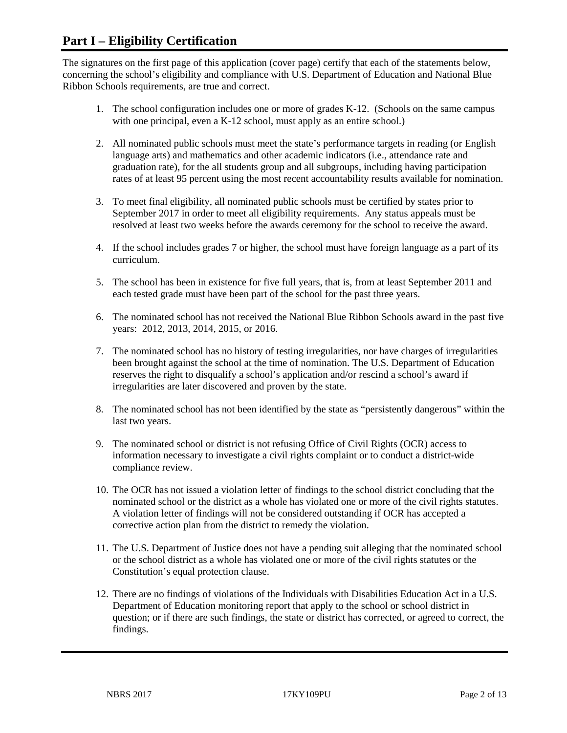## **Part I – Eligibility Certification**

The signatures on the first page of this application (cover page) certify that each of the statements below, concerning the school's eligibility and compliance with U.S. Department of Education and National Blue Ribbon Schools requirements, are true and correct.

- 1. The school configuration includes one or more of grades K-12. (Schools on the same campus with one principal, even a K-12 school, must apply as an entire school.)
- 2. All nominated public schools must meet the state's performance targets in reading (or English language arts) and mathematics and other academic indicators (i.e., attendance rate and graduation rate), for the all students group and all subgroups, including having participation rates of at least 95 percent using the most recent accountability results available for nomination.
- 3. To meet final eligibility, all nominated public schools must be certified by states prior to September 2017 in order to meet all eligibility requirements. Any status appeals must be resolved at least two weeks before the awards ceremony for the school to receive the award.
- 4. If the school includes grades 7 or higher, the school must have foreign language as a part of its curriculum.
- 5. The school has been in existence for five full years, that is, from at least September 2011 and each tested grade must have been part of the school for the past three years.
- 6. The nominated school has not received the National Blue Ribbon Schools award in the past five years: 2012, 2013, 2014, 2015, or 2016.
- 7. The nominated school has no history of testing irregularities, nor have charges of irregularities been brought against the school at the time of nomination. The U.S. Department of Education reserves the right to disqualify a school's application and/or rescind a school's award if irregularities are later discovered and proven by the state.
- 8. The nominated school has not been identified by the state as "persistently dangerous" within the last two years.
- 9. The nominated school or district is not refusing Office of Civil Rights (OCR) access to information necessary to investigate a civil rights complaint or to conduct a district-wide compliance review.
- 10. The OCR has not issued a violation letter of findings to the school district concluding that the nominated school or the district as a whole has violated one or more of the civil rights statutes. A violation letter of findings will not be considered outstanding if OCR has accepted a corrective action plan from the district to remedy the violation.
- 11. The U.S. Department of Justice does not have a pending suit alleging that the nominated school or the school district as a whole has violated one or more of the civil rights statutes or the Constitution's equal protection clause.
- 12. There are no findings of violations of the Individuals with Disabilities Education Act in a U.S. Department of Education monitoring report that apply to the school or school district in question; or if there are such findings, the state or district has corrected, or agreed to correct, the findings.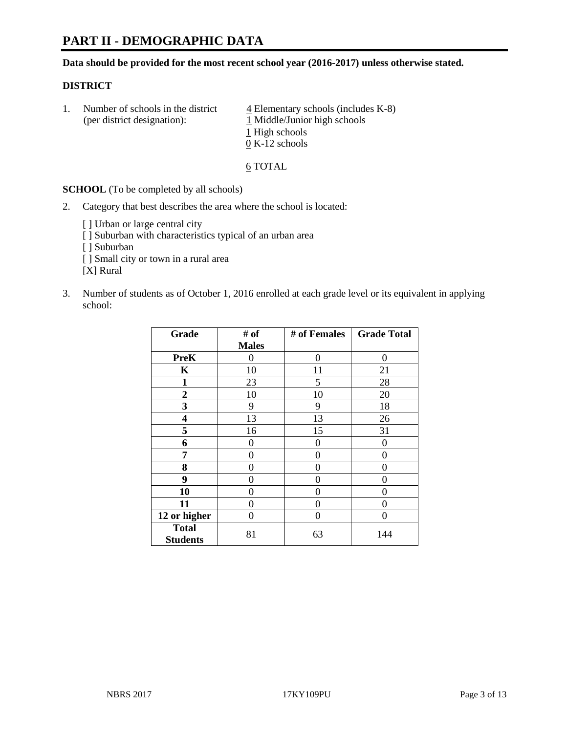# **PART II - DEMOGRAPHIC DATA**

**Data should be provided for the most recent school year (2016-2017) unless otherwise stated.** 

#### **DISTRICT**

1. Number of schools in the district  $\frac{4}{4}$  Elementary schools (includes K-8) (per district designation): 1 Middle/Junior high schools 1 High schools 0 K-12 schools

6 TOTAL

**SCHOOL** (To be completed by all schools)

2. Category that best describes the area where the school is located:

[] Urban or large central city [ ] Suburban with characteristics typical of an urban area [ ] Suburban [ ] Small city or town in a rural area [X] Rural

3. Number of students as of October 1, 2016 enrolled at each grade level or its equivalent in applying school:

| Grade                           | # of         | # of Females | <b>Grade Total</b> |
|---------------------------------|--------------|--------------|--------------------|
|                                 | <b>Males</b> |              |                    |
| <b>PreK</b>                     | 0            | 0            | 0                  |
| K                               | 10           | 11           | 21                 |
| $\mathbf{1}$                    | 23           | 5            | 28                 |
| $\boldsymbol{2}$                | 10           | 10           | 20                 |
| 3                               | 9            | 9            | 18                 |
| 4                               | 13           | 13           | 26                 |
| 5                               | 16           | 15           | 31                 |
| 6                               | 0            | 0            | 0                  |
| 7                               | 0            | 0            | 0                  |
| 8                               | 0            | 0            | 0                  |
| 9                               | 0            | 0            | 0                  |
| 10                              | 0            | 0            | 0                  |
| 11                              | 0            | 0            | 0                  |
| 12 or higher                    | 0            | 0            | 0                  |
| <b>Total</b><br><b>Students</b> | 81           | 63           | 144                |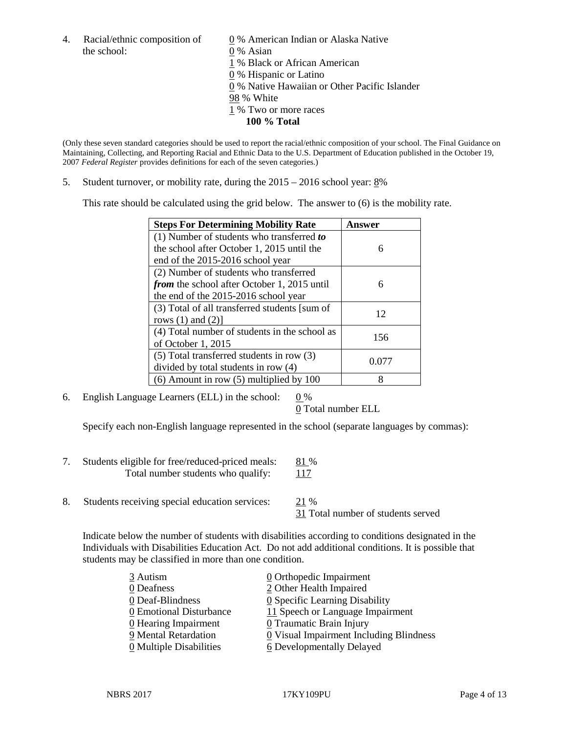the school: 0 % Asian

4. Racial/ethnic composition of  $\qquad \qquad \underline{0}$  % American Indian or Alaska Native 1 % Black or African American 0 % Hispanic or Latino 0 % Native Hawaiian or Other Pacific Islander 98 % White 1 % Two or more races **100 % Total**

(Only these seven standard categories should be used to report the racial/ethnic composition of your school. The Final Guidance on Maintaining, Collecting, and Reporting Racial and Ethnic Data to the U.S. Department of Education published in the October 19, 2007 *Federal Register* provides definitions for each of the seven categories.)

5. Student turnover, or mobility rate, during the 2015 – 2016 school year: 8%

This rate should be calculated using the grid below. The answer to (6) is the mobility rate.

| <b>Steps For Determining Mobility Rate</b>    | Answer |  |
|-----------------------------------------------|--------|--|
| (1) Number of students who transferred to     |        |  |
| the school after October 1, 2015 until the    | 6      |  |
| end of the 2015-2016 school year              |        |  |
| (2) Number of students who transferred        |        |  |
| from the school after October 1, 2015 until   | 6      |  |
| the end of the 2015-2016 school year          |        |  |
| (3) Total of all transferred students [sum of | 12     |  |
| rows $(1)$ and $(2)$ ]                        |        |  |
| (4) Total number of students in the school as | 156    |  |
| of October 1, 2015                            |        |  |
| (5) Total transferred students in row (3)     | 0.077  |  |
| divided by total students in row (4)          |        |  |
| $(6)$ Amount in row $(5)$ multiplied by 100   | 8      |  |

6. English Language Learners (ELL) in the school:  $0\%$ 

0 Total number ELL

Specify each non-English language represented in the school (separate languages by commas):

- 7. Students eligible for free/reduced-priced meals: 81 % Total number students who qualify: 117
- 8. Students receiving special education services: 21 %

31 Total number of students served

Indicate below the number of students with disabilities according to conditions designated in the Individuals with Disabilities Education Act. Do not add additional conditions. It is possible that students may be classified in more than one condition.

| 3 Autism                              | $\underline{0}$ Orthopedic Impairment   |
|---------------------------------------|-----------------------------------------|
| 0 Deafness                            | 2 Other Health Impaired                 |
| 0 Deaf-Blindness                      | 0 Specific Learning Disability          |
| 0 Emotional Disturbance               | 11 Speech or Language Impairment        |
| $\underline{0}$ Hearing Impairment    | 0 Traumatic Brain Injury                |
| 9 Mental Retardation                  | 0 Visual Impairment Including Blindness |
| $\underline{0}$ Multiple Disabilities | <b>6</b> Developmentally Delayed        |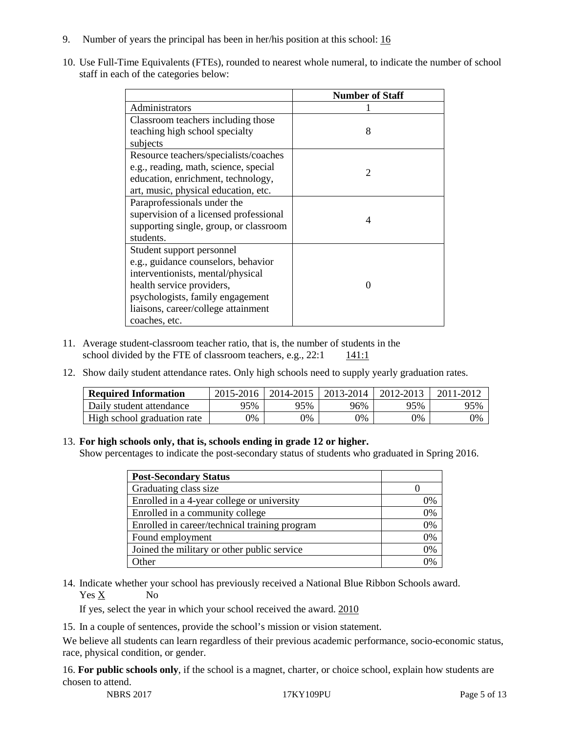- 9. Number of years the principal has been in her/his position at this school: 16
- 10. Use Full-Time Equivalents (FTEs), rounded to nearest whole numeral, to indicate the number of school staff in each of the categories below:

|                                        | <b>Number of Staff</b> |
|----------------------------------------|------------------------|
| Administrators                         |                        |
| Classroom teachers including those     |                        |
| teaching high school specialty         | 8                      |
| subjects                               |                        |
| Resource teachers/specialists/coaches  |                        |
| e.g., reading, math, science, special  | 2                      |
| education, enrichment, technology,     |                        |
| art, music, physical education, etc.   |                        |
| Paraprofessionals under the            |                        |
| supervision of a licensed professional | 4                      |
| supporting single, group, or classroom |                        |
| students.                              |                        |
| Student support personnel              |                        |
| e.g., guidance counselors, behavior    |                        |
| interventionists, mental/physical      |                        |
| health service providers,              |                        |
| psychologists, family engagement       |                        |
| liaisons, career/college attainment    |                        |
| coaches, etc.                          |                        |

- 11. Average student-classroom teacher ratio, that is, the number of students in the school divided by the FTE of classroom teachers, e.g.,  $22:1$  141:1
- 12. Show daily student attendance rates. Only high schools need to supply yearly graduation rates.

| <b>Required Information</b> | 2015-2016 | 2014-2015 | 2013-2014 | 2012-2013 |     |
|-----------------------------|-----------|-----------|-----------|-----------|-----|
| Daily student attendance    | 95%       | 95%       | 96%       | 95%       | 95% |
| High school graduation rate | 0%        | 0%        | 0%        | 9%        | 0%  |

#### 13. **For high schools only, that is, schools ending in grade 12 or higher.**

Show percentages to indicate the post-secondary status of students who graduated in Spring 2016.

| <b>Post-Secondary Status</b>                  |    |
|-----------------------------------------------|----|
| Graduating class size                         |    |
| Enrolled in a 4-year college or university    | 0% |
| Enrolled in a community college               | 0% |
| Enrolled in career/technical training program | 0% |
| Found employment                              | 0% |
| Joined the military or other public service   | 0% |
| )ther                                         |    |

14. Indicate whether your school has previously received a National Blue Ribbon Schools award. Yes X No

If yes, select the year in which your school received the award. 2010

15. In a couple of sentences, provide the school's mission or vision statement.

We believe all students can learn regardless of their previous academic performance, socio-economic status, race, physical condition, or gender.

16. **For public schools only**, if the school is a magnet, charter, or choice school, explain how students are chosen to attend.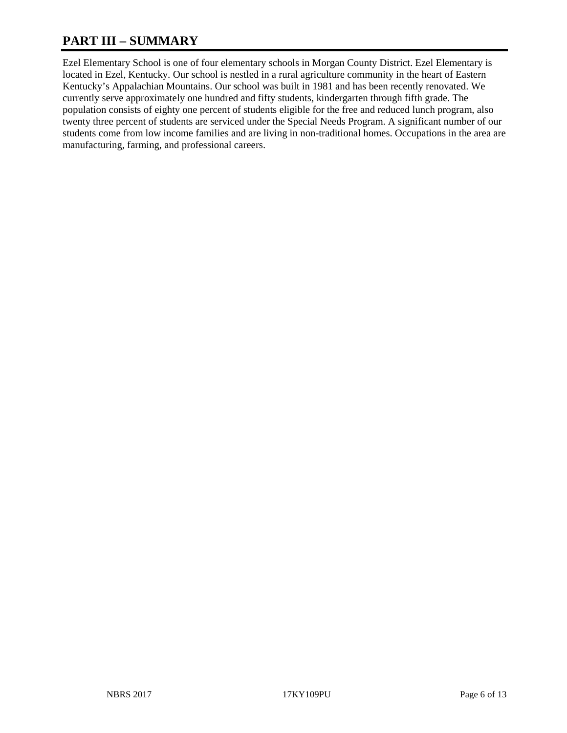# **PART III – SUMMARY**

Ezel Elementary School is one of four elementary schools in Morgan County District. Ezel Elementary is located in Ezel, Kentucky. Our school is nestled in a rural agriculture community in the heart of Eastern Kentucky's Appalachian Mountains. Our school was built in 1981 and has been recently renovated. We currently serve approximately one hundred and fifty students, kindergarten through fifth grade. The population consists of eighty one percent of students eligible for the free and reduced lunch program, also twenty three percent of students are serviced under the Special Needs Program. A significant number of our students come from low income families and are living in non-traditional homes. Occupations in the area are manufacturing, farming, and professional careers.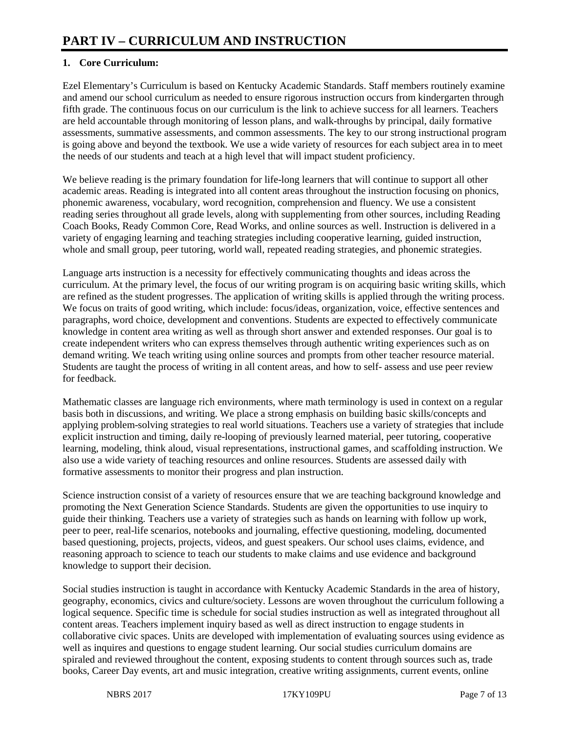## **1. Core Curriculum:**

Ezel Elementary's Curriculum is based on Kentucky Academic Standards. Staff members routinely examine and amend our school curriculum as needed to ensure rigorous instruction occurs from kindergarten through fifth grade. The continuous focus on our curriculum is the link to achieve success for all learners. Teachers are held accountable through monitoring of lesson plans, and walk-throughs by principal, daily formative assessments, summative assessments, and common assessments. The key to our strong instructional program is going above and beyond the textbook. We use a wide variety of resources for each subject area in to meet the needs of our students and teach at a high level that will impact student proficiency.

We believe reading is the primary foundation for life-long learners that will continue to support all other academic areas. Reading is integrated into all content areas throughout the instruction focusing on phonics, phonemic awareness, vocabulary, word recognition, comprehension and fluency. We use a consistent reading series throughout all grade levels, along with supplementing from other sources, including Reading Coach Books, Ready Common Core, Read Works, and online sources as well. Instruction is delivered in a variety of engaging learning and teaching strategies including cooperative learning, guided instruction, whole and small group, peer tutoring, world wall, repeated reading strategies, and phonemic strategies.

Language arts instruction is a necessity for effectively communicating thoughts and ideas across the curriculum. At the primary level, the focus of our writing program is on acquiring basic writing skills, which are refined as the student progresses. The application of writing skills is applied through the writing process. We focus on traits of good writing, which include: focus/ideas, organization, voice, effective sentences and paragraphs, word choice, development and conventions. Students are expected to effectively communicate knowledge in content area writing as well as through short answer and extended responses. Our goal is to create independent writers who can express themselves through authentic writing experiences such as on demand writing. We teach writing using online sources and prompts from other teacher resource material. Students are taught the process of writing in all content areas, and how to self- assess and use peer review for feedback.

Mathematic classes are language rich environments, where math terminology is used in context on a regular basis both in discussions, and writing. We place a strong emphasis on building basic skills/concepts and applying problem-solving strategies to real world situations. Teachers use a variety of strategies that include explicit instruction and timing, daily re-looping of previously learned material, peer tutoring, cooperative learning, modeling, think aloud, visual representations, instructional games, and scaffolding instruction. We also use a wide variety of teaching resources and online resources. Students are assessed daily with formative assessments to monitor their progress and plan instruction.

Science instruction consist of a variety of resources ensure that we are teaching background knowledge and promoting the Next Generation Science Standards. Students are given the opportunities to use inquiry to guide their thinking. Teachers use a variety of strategies such as hands on learning with follow up work, peer to peer, real-life scenarios, notebooks and journaling, effective questioning, modeling, documented based questioning, projects, projects, videos, and guest speakers. Our school uses claims, evidence, and reasoning approach to science to teach our students to make claims and use evidence and background knowledge to support their decision.

Social studies instruction is taught in accordance with Kentucky Academic Standards in the area of history, geography, economics, civics and culture/society. Lessons are woven throughout the curriculum following a logical sequence. Specific time is schedule for social studies instruction as well as integrated throughout all content areas. Teachers implement inquiry based as well as direct instruction to engage students in collaborative civic spaces. Units are developed with implementation of evaluating sources using evidence as well as inquires and questions to engage student learning. Our social studies curriculum domains are spiraled and reviewed throughout the content, exposing students to content through sources such as, trade books, Career Day events, art and music integration, creative writing assignments, current events, online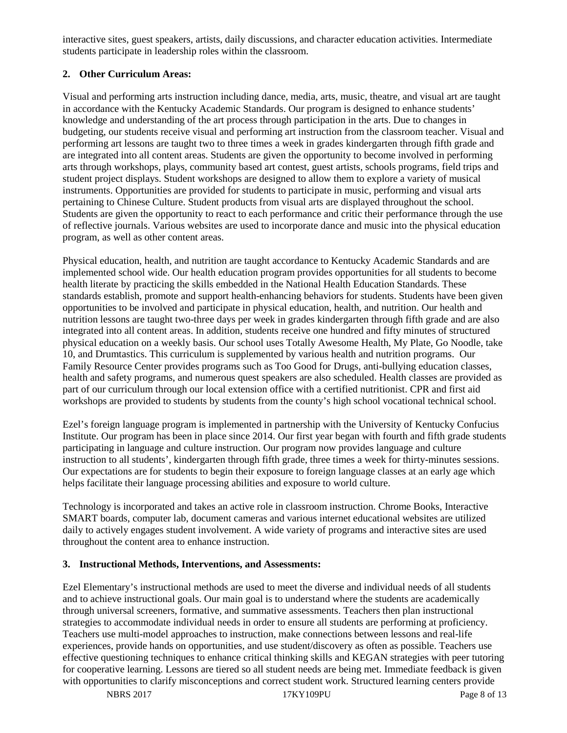interactive sites, guest speakers, artists, daily discussions, and character education activities. Intermediate students participate in leadership roles within the classroom.

## **2. Other Curriculum Areas:**

Visual and performing arts instruction including dance, media, arts, music, theatre, and visual art are taught in accordance with the Kentucky Academic Standards. Our program is designed to enhance students' knowledge and understanding of the art process through participation in the arts. Due to changes in budgeting, our students receive visual and performing art instruction from the classroom teacher. Visual and performing art lessons are taught two to three times a week in grades kindergarten through fifth grade and are integrated into all content areas. Students are given the opportunity to become involved in performing arts through workshops, plays, community based art contest, guest artists, schools programs, field trips and student project displays. Student workshops are designed to allow them to explore a variety of musical instruments. Opportunities are provided for students to participate in music, performing and visual arts pertaining to Chinese Culture. Student products from visual arts are displayed throughout the school. Students are given the opportunity to react to each performance and critic their performance through the use of reflective journals. Various websites are used to incorporate dance and music into the physical education program, as well as other content areas.

Physical education, health, and nutrition are taught accordance to Kentucky Academic Standards and are implemented school wide. Our health education program provides opportunities for all students to become health literate by practicing the skills embedded in the National Health Education Standards. These standards establish, promote and support health-enhancing behaviors for students. Students have been given opportunities to be involved and participate in physical education, health, and nutrition. Our health and nutrition lessons are taught two-three days per week in grades kindergarten through fifth grade and are also integrated into all content areas. In addition, students receive one hundred and fifty minutes of structured physical education on a weekly basis. Our school uses Totally Awesome Health, My Plate, Go Noodle, take 10, and Drumtastics. This curriculum is supplemented by various health and nutrition programs. Our Family Resource Center provides programs such as Too Good for Drugs, anti-bullying education classes, health and safety programs, and numerous quest speakers are also scheduled. Health classes are provided as part of our curriculum through our local extension office with a certified nutritionist. CPR and first aid workshops are provided to students by students from the county's high school vocational technical school.

Ezel's foreign language program is implemented in partnership with the University of Kentucky Confucius Institute. Our program has been in place since 2014. Our first year began with fourth and fifth grade students participating in language and culture instruction. Our program now provides language and culture instruction to all students', kindergarten through fifth grade, three times a week for thirty-minutes sessions. Our expectations are for students to begin their exposure to foreign language classes at an early age which helps facilitate their language processing abilities and exposure to world culture.

Technology is incorporated and takes an active role in classroom instruction. Chrome Books, Interactive SMART boards, computer lab, document cameras and various internet educational websites are utilized daily to actively engages student involvement. A wide variety of programs and interactive sites are used throughout the content area to enhance instruction.

### **3. Instructional Methods, Interventions, and Assessments:**

Ezel Elementary's instructional methods are used to meet the diverse and individual needs of all students and to achieve instructional goals. Our main goal is to understand where the students are academically through universal screeners, formative, and summative assessments. Teachers then plan instructional strategies to accommodate individual needs in order to ensure all students are performing at proficiency. Teachers use multi-model approaches to instruction, make connections between lessons and real-life experiences, provide hands on opportunities, and use student/discovery as often as possible. Teachers use effective questioning techniques to enhance critical thinking skills and KEGAN strategies with peer tutoring for cooperative learning. Lessons are tiered so all student needs are being met. Immediate feedback is given with opportunities to clarify misconceptions and correct student work. Structured learning centers provide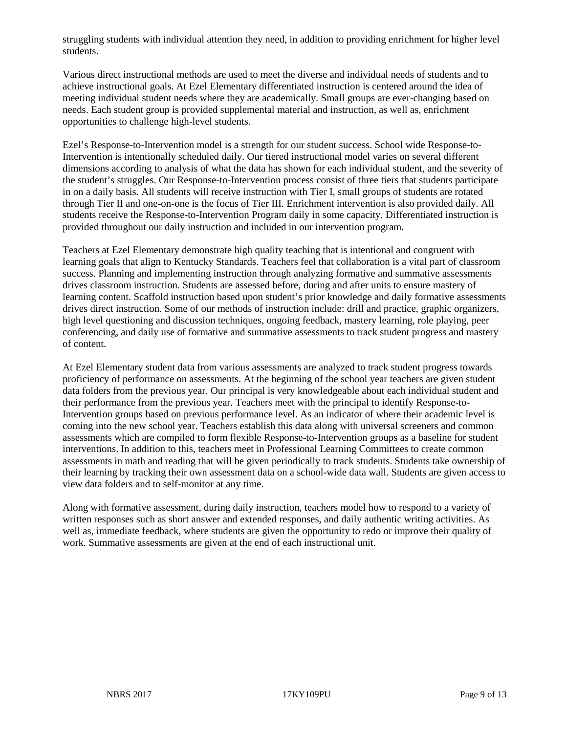struggling students with individual attention they need, in addition to providing enrichment for higher level students.

Various direct instructional methods are used to meet the diverse and individual needs of students and to achieve instructional goals. At Ezel Elementary differentiated instruction is centered around the idea of meeting individual student needs where they are academically. Small groups are ever-changing based on needs. Each student group is provided supplemental material and instruction, as well as, enrichment opportunities to challenge high-level students.

Ezel's Response-to-Intervention model is a strength for our student success. School wide Response-to-Intervention is intentionally scheduled daily. Our tiered instructional model varies on several different dimensions according to analysis of what the data has shown for each individual student, and the severity of the student's struggles. Our Response-to-Intervention process consist of three tiers that students participate in on a daily basis. All students will receive instruction with Tier I, small groups of students are rotated through Tier II and one-on-one is the focus of Tier III. Enrichment intervention is also provided daily. All students receive the Response-to-Intervention Program daily in some capacity. Differentiated instruction is provided throughout our daily instruction and included in our intervention program.

Teachers at Ezel Elementary demonstrate high quality teaching that is intentional and congruent with learning goals that align to Kentucky Standards. Teachers feel that collaboration is a vital part of classroom success. Planning and implementing instruction through analyzing formative and summative assessments drives classroom instruction. Students are assessed before, during and after units to ensure mastery of learning content. Scaffold instruction based upon student's prior knowledge and daily formative assessments drives direct instruction. Some of our methods of instruction include: drill and practice, graphic organizers, high level questioning and discussion techniques, ongoing feedback, mastery learning, role playing, peer conferencing, and daily use of formative and summative assessments to track student progress and mastery of content.

At Ezel Elementary student data from various assessments are analyzed to track student progress towards proficiency of performance on assessments. At the beginning of the school year teachers are given student data folders from the previous year. Our principal is very knowledgeable about each individual student and their performance from the previous year. Teachers meet with the principal to identify Response-to-Intervention groups based on previous performance level. As an indicator of where their academic level is coming into the new school year. Teachers establish this data along with universal screeners and common assessments which are compiled to form flexible Response-to-Intervention groups as a baseline for student interventions. In addition to this, teachers meet in Professional Learning Committees to create common assessments in math and reading that will be given periodically to track students. Students take ownership of their learning by tracking their own assessment data on a school-wide data wall. Students are given access to view data folders and to self-monitor at any time.

Along with formative assessment, during daily instruction, teachers model how to respond to a variety of written responses such as short answer and extended responses, and daily authentic writing activities. As well as, immediate feedback, where students are given the opportunity to redo or improve their quality of work. Summative assessments are given at the end of each instructional unit.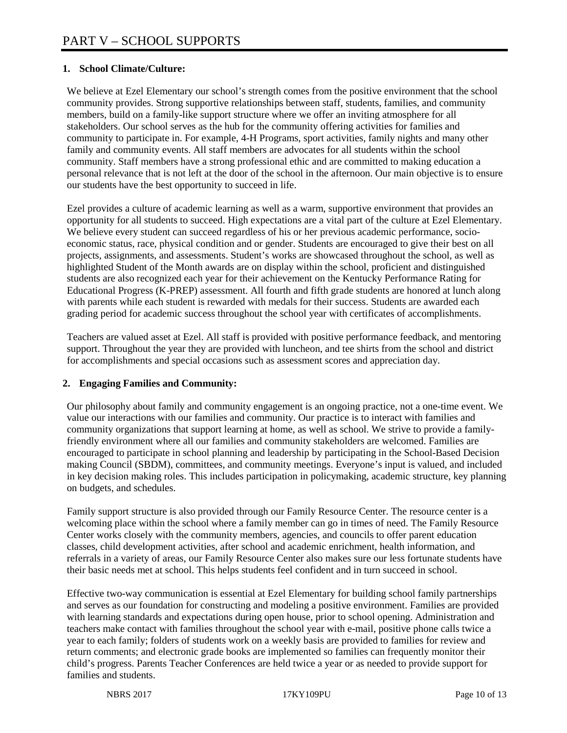## **1. School Climate/Culture:**

We believe at Ezel Elementary our school's strength comes from the positive environment that the school community provides. Strong supportive relationships between staff, students, families, and community members, build on a family-like support structure where we offer an inviting atmosphere for all stakeholders. Our school serves as the hub for the community offering activities for families and community to participate in. For example, 4-H Programs, sport activities, family nights and many other family and community events. All staff members are advocates for all students within the school community. Staff members have a strong professional ethic and are committed to making education a personal relevance that is not left at the door of the school in the afternoon. Our main objective is to ensure our students have the best opportunity to succeed in life.

Ezel provides a culture of academic learning as well as a warm, supportive environment that provides an opportunity for all students to succeed. High expectations are a vital part of the culture at Ezel Elementary. We believe every student can succeed regardless of his or her previous academic performance, socioeconomic status, race, physical condition and or gender. Students are encouraged to give their best on all projects, assignments, and assessments. Student's works are showcased throughout the school, as well as highlighted Student of the Month awards are on display within the school, proficient and distinguished students are also recognized each year for their achievement on the Kentucky Performance Rating for Educational Progress (K-PREP) assessment. All fourth and fifth grade students are honored at lunch along with parents while each student is rewarded with medals for their success. Students are awarded each grading period for academic success throughout the school year with certificates of accomplishments.

Teachers are valued asset at Ezel. All staff is provided with positive performance feedback, and mentoring support. Throughout the year they are provided with luncheon, and tee shirts from the school and district for accomplishments and special occasions such as assessment scores and appreciation day.

### **2. Engaging Families and Community:**

Our philosophy about family and community engagement is an ongoing practice, not a one-time event. We value our interactions with our families and community. Our practice is to interact with families and community organizations that support learning at home, as well as school. We strive to provide a familyfriendly environment where all our families and community stakeholders are welcomed. Families are encouraged to participate in school planning and leadership by participating in the School-Based Decision making Council (SBDM), committees, and community meetings. Everyone's input is valued, and included in key decision making roles. This includes participation in policymaking, academic structure, key planning on budgets, and schedules.

Family support structure is also provided through our Family Resource Center. The resource center is a welcoming place within the school where a family member can go in times of need. The Family Resource Center works closely with the community members, agencies, and councils to offer parent education classes, child development activities, after school and academic enrichment, health information, and referrals in a variety of areas, our Family Resource Center also makes sure our less fortunate students have their basic needs met at school. This helps students feel confident and in turn succeed in school.

Effective two-way communication is essential at Ezel Elementary for building school family partnerships and serves as our foundation for constructing and modeling a positive environment. Families are provided with learning standards and expectations during open house, prior to school opening. Administration and teachers make contact with families throughout the school year with e-mail, positive phone calls twice a year to each family; folders of students work on a weekly basis are provided to families for review and return comments; and electronic grade books are implemented so families can frequently monitor their child's progress. Parents Teacher Conferences are held twice a year or as needed to provide support for families and students.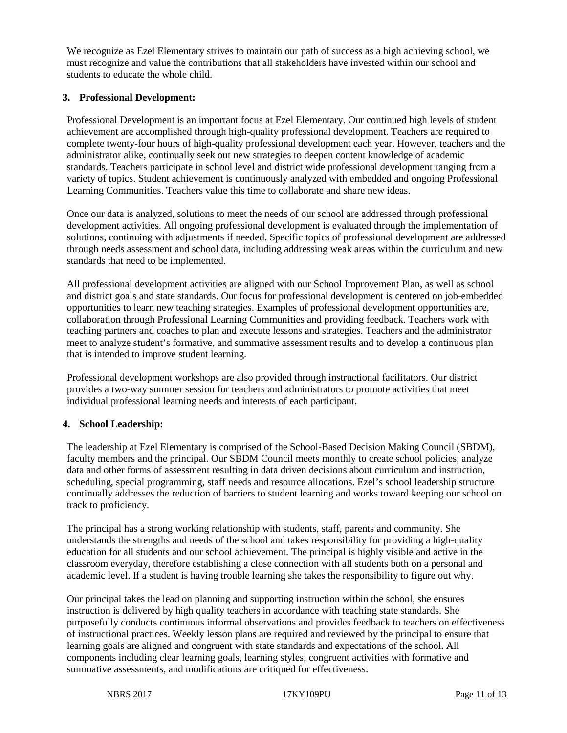We recognize as Ezel Elementary strives to maintain our path of success as a high achieving school, we must recognize and value the contributions that all stakeholders have invested within our school and students to educate the whole child.

#### **3. Professional Development:**

Professional Development is an important focus at Ezel Elementary. Our continued high levels of student achievement are accomplished through high-quality professional development. Teachers are required to complete twenty-four hours of high-quality professional development each year. However, teachers and the administrator alike, continually seek out new strategies to deepen content knowledge of academic standards. Teachers participate in school level and district wide professional development ranging from a variety of topics. Student achievement is continuously analyzed with embedded and ongoing Professional Learning Communities. Teachers value this time to collaborate and share new ideas.

Once our data is analyzed, solutions to meet the needs of our school are addressed through professional development activities. All ongoing professional development is evaluated through the implementation of solutions, continuing with adjustments if needed. Specific topics of professional development are addressed through needs assessment and school data, including addressing weak areas within the curriculum and new standards that need to be implemented.

All professional development activities are aligned with our School Improvement Plan, as well as school and district goals and state standards. Our focus for professional development is centered on job-embedded opportunities to learn new teaching strategies. Examples of professional development opportunities are, collaboration through Professional Learning Communities and providing feedback. Teachers work with teaching partners and coaches to plan and execute lessons and strategies. Teachers and the administrator meet to analyze student's formative, and summative assessment results and to develop a continuous plan that is intended to improve student learning.

Professional development workshops are also provided through instructional facilitators. Our district provides a two-way summer session for teachers and administrators to promote activities that meet individual professional learning needs and interests of each participant.

#### **4. School Leadership:**

The leadership at Ezel Elementary is comprised of the School-Based Decision Making Council (SBDM), faculty members and the principal. Our SBDM Council meets monthly to create school policies, analyze data and other forms of assessment resulting in data driven decisions about curriculum and instruction, scheduling, special programming, staff needs and resource allocations. Ezel's school leadership structure continually addresses the reduction of barriers to student learning and works toward keeping our school on track to proficiency.

The principal has a strong working relationship with students, staff, parents and community. She understands the strengths and needs of the school and takes responsibility for providing a high-quality education for all students and our school achievement. The principal is highly visible and active in the classroom everyday, therefore establishing a close connection with all students both on a personal and academic level. If a student is having trouble learning she takes the responsibility to figure out why.

Our principal takes the lead on planning and supporting instruction within the school, she ensures instruction is delivered by high quality teachers in accordance with teaching state standards. She purposefully conducts continuous informal observations and provides feedback to teachers on effectiveness of instructional practices. Weekly lesson plans are required and reviewed by the principal to ensure that learning goals are aligned and congruent with state standards and expectations of the school. All components including clear learning goals, learning styles, congruent activities with formative and summative assessments, and modifications are critiqued for effectiveness.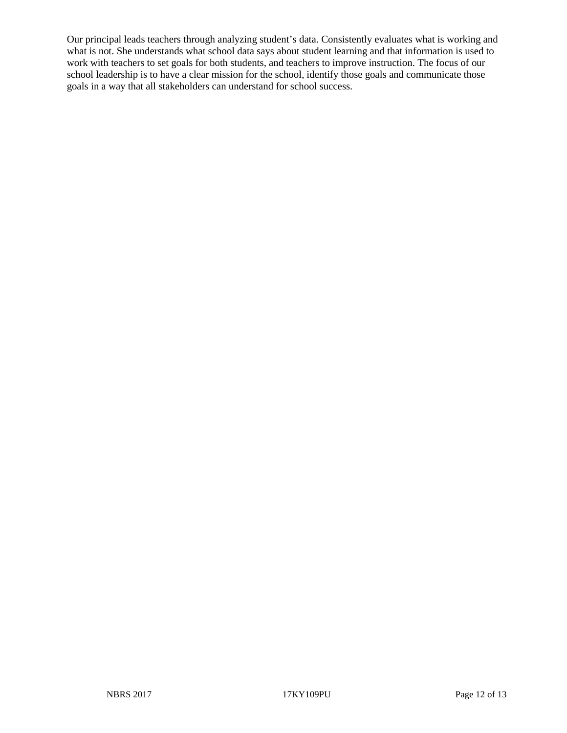Our principal leads teachers through analyzing student's data. Consistently evaluates what is working and what is not. She understands what school data says about student learning and that information is used to work with teachers to set goals for both students, and teachers to improve instruction. The focus of our school leadership is to have a clear mission for the school, identify those goals and communicate those goals in a way that all stakeholders can understand for school success.